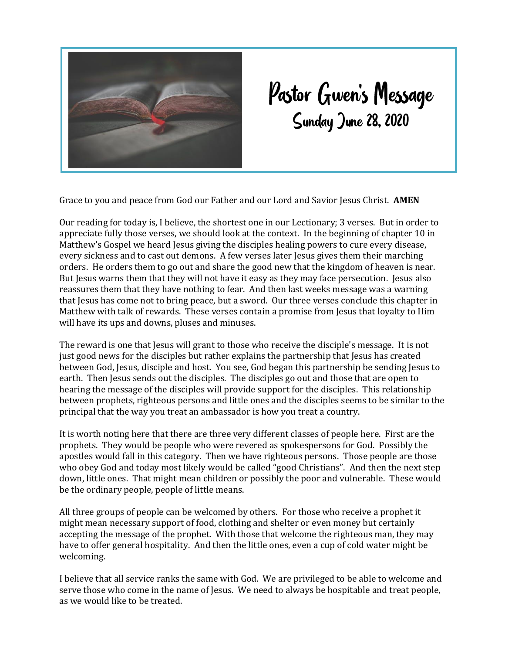

## Pastor Gwen's Message<br>Sunday June 28, 2020

Grace to you and peace from God our Father and our Lord and Savior Jesus Christ. **AMEN**

Our reading for today is, I believe, the shortest one in our Lectionary; 3 verses. But in order to appreciate fully those verses, we should look at the context. In the beginning of chapter 10 in Matthew's Gospel we heard Jesus giving the disciples healing powers to cure every disease, every sickness and to cast out demons. A few verses later Jesus gives them their marching orders. He orders them to go out and share the good new that the kingdom of heaven is near. But Jesus warns them that they will not have it easy as they may face persecution. Jesus also reassures them that they have nothing to fear. And then last weeks message was a warning that Jesus has come not to bring peace, but a sword. Our three verses conclude this chapter in Matthew with talk of rewards. These verses contain a promise from Jesus that loyalty to Him will have its ups and downs, pluses and minuses.

The reward is one that Jesus will grant to those who receive the disciple's message. It is not just good news for the disciples but rather explains the partnership that Jesus has created between God, Jesus, disciple and host. You see, God began this partnership be sending Jesus to earth. Then Jesus sends out the disciples. The disciples go out and those that are open to hearing the message of the disciples will provide support for the disciples. This relationship between prophets, righteous persons and little ones and the disciples seems to be similar to the principal that the way you treat an ambassador is how you treat a country.

It is worth noting here that there are three very different classes of people here. First are the prophets. They would be people who were revered as spokespersons for God. Possibly the apostles would fall in this category. Then we have righteous persons. Those people are those who obey God and today most likely would be called "good Christians". And then the next step down, little ones. That might mean children or possibly the poor and vulnerable. These would be the ordinary people, people of little means.

All three groups of people can be welcomed by others. For those who receive a prophet it might mean necessary support of food, clothing and shelter or even money but certainly accepting the message of the prophet. With those that welcome the righteous man, they may have to offer general hospitality. And then the little ones, even a cup of cold water might be welcoming.

I believe that all service ranks the same with God. We are privileged to be able to welcome and serve those who come in the name of Jesus. We need to always be hospitable and treat people, as we would like to be treated.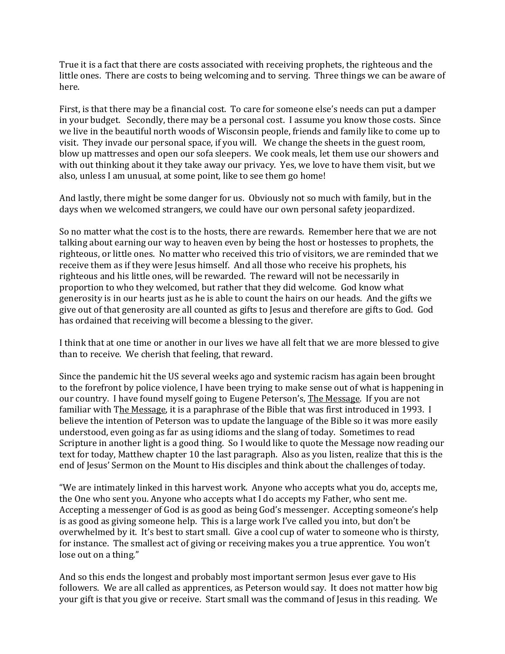True it is a fact that there are costs associated with receiving prophets, the righteous and the little ones. There are costs to being welcoming and to serving. Three things we can be aware of here.

First, is that there may be a financial cost. To care for someone else's needs can put a damper in your budget. Secondly, there may be a personal cost. I assume you know those costs. Since we live in the beautiful north woods of Wisconsin people, friends and family like to come up to visit. They invade our personal space, if you will. We change the sheets in the guest room, blow up mattresses and open our sofa sleepers. We cook meals, let them use our showers and with out thinking about it they take away our privacy. Yes, we love to have them visit, but we also, unless I am unusual, at some point, like to see them go home!

And lastly, there might be some danger for us. Obviously not so much with family, but in the days when we welcomed strangers, we could have our own personal safety jeopardized.

So no matter what the cost is to the hosts, there are rewards. Remember here that we are not talking about earning our way to heaven even by being the host or hostesses to prophets, the righteous, or little ones. No matter who received this trio of visitors, we are reminded that we receive them as if they were Jesus himself. And all those who receive his prophets, his righteous and his little ones, will be rewarded. The reward will not be necessarily in proportion to who they welcomed, but rather that they did welcome. God know what generosity is in our hearts just as he is able to count the hairs on our heads. And the gifts we give out of that generosity are all counted as gifts to Jesus and therefore are gifts to God. God has ordained that receiving will become a blessing to the giver.

I think that at one time or another in our lives we have all felt that we are more blessed to give than to receive. We cherish that feeling, that reward.

Since the pandemic hit the US several weeks ago and systemic racism has again been brought to the forefront by police violence, I have been trying to make sense out of what is happening in our country. I have found myself going to Eugene Peterson's, The Message. If you are not familiar with The Message, it is a paraphrase of the Bible that was first introduced in 1993. I believe the intention of Peterson was to update the language of the Bible so it was more easily understood, even going as far as using idioms and the slang of today. Sometimes to read Scripture in another light is a good thing. So I would like to quote the Message now reading our text for today, Matthew chapter 10 the last paragraph. Also as you listen, realize that this is the end of Jesus' Sermon on the Mount to His disciples and think about the challenges of today.

"We are intimately linked in this harvest work. Anyone who accepts what you do, accepts me, the One who sent you. Anyone who accepts what I do accepts my Father, who sent me. Accepting a messenger of God is as good as being God's messenger. Accepting someone's help is as good as giving someone help. This is a large work I've called you into, but don't be overwhelmed by it. It's best to start small. Give a cool cup of water to someone who is thirsty, for instance. The smallest act of giving or receiving makes you a true apprentice. You won't lose out on a thing."

And so this ends the longest and probably most important sermon Jesus ever gave to His followers. We are all called as apprentices, as Peterson would say. It does not matter how big your gift is that you give or receive. Start small was the command of Jesus in this reading. We